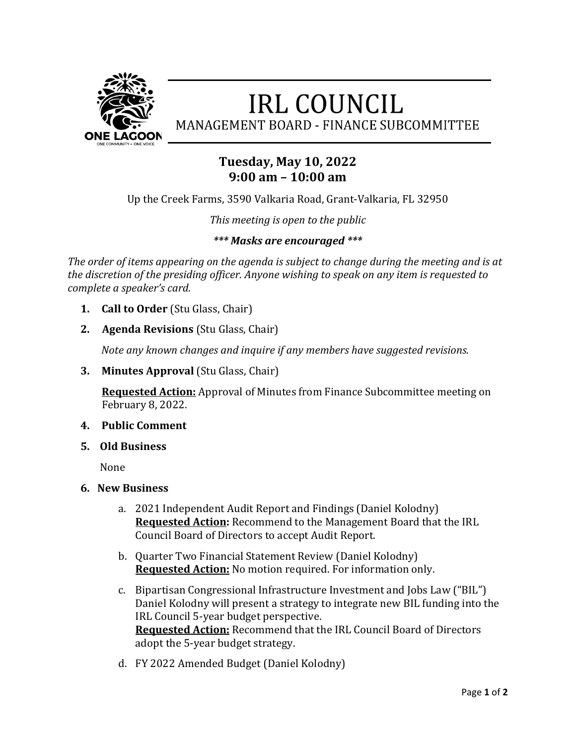

# **IRL COUNCIL**

MANAGEMENT BOARD - FINANCE SUBCOMMITTEE

## **Tuesday, May 10, 2022 9:00 am – 10:00 am**

Up the Creek Farms, 3590 Valkaria Road, Grant-Valkaria, FL 32950

*This meeting is open to the public*

### *\*\*\* Masks are encouraged \*\*\**

*The order of items appearing on the agenda is subject to change during the meeting and is at the discretion of the presiding officer. Anyone wishing to speak on any item is requested to complete a speaker's card.* 

- **1. Call to Order** (Stu Glass, Chair)
- **2. Agenda Revisions** (Stu Glass, Chair)

*Note any known changes and inquire if any members have suggested revisions.* 

**3. Minutes Approval** (Stu Glass, Chair)

 **Requested Action:** Approval of Minutes from Finance Subcommittee meeting on February 8, 2022.

#### **4. Public Comment**

**5. Old Business**

None

- **6. New Business**
	- a. 2021 Independent Audit Report and Findings (Daniel Kolodny) **Requested Action:** Recommend to the Management Board that the IRL Council Board of Directors to accept Audit Report.
	- b. Quarter Two Financial Statement Review (Daniel Kolodny) **Requested Action:** No motion required. For information only.
	- c. Bipartisan Congressional Infrastructure Investment and Jobs Law ("BIL") Daniel Kolodny will present a strategy to integrate new BIL funding into the IRL Council 5-year budget perspective. **Requested Action:** Recommend that the IRL Council Board of Directors adopt the 5-year budget strategy.
	- d. FY 2022 Amended Budget (Daniel Kolodny)